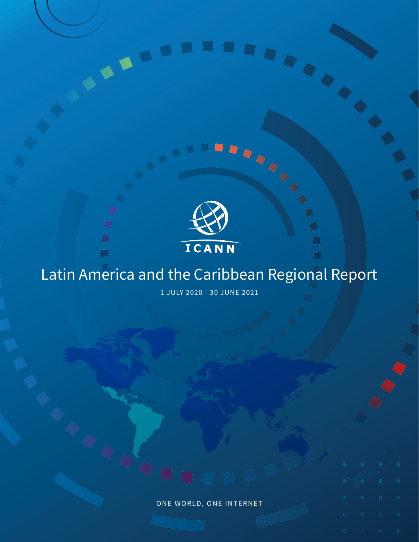

 $\overline{\mathcal{Q}}$ 

 $\bigcirc$  $\Box$ 

 $\Box$ 

 $\bigcirc$ 

# Latin America and the Caribbean Regional Report

Ō

1 JULY 2020 - 30 JUNE 2021

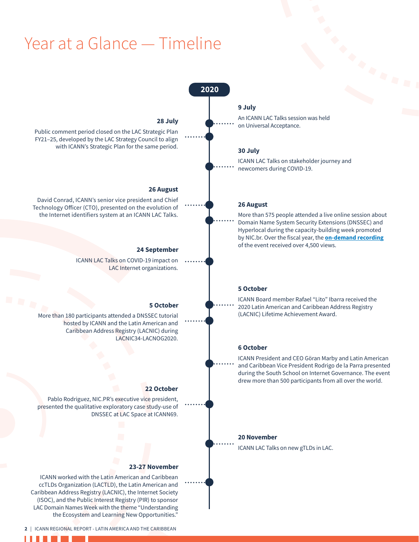# Year at a Glance — Timeline

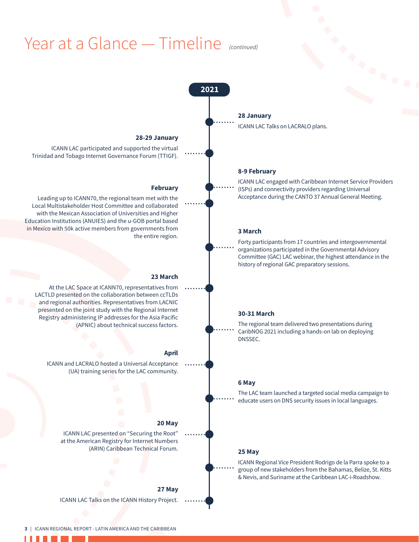# Year at a Glance — Timeline *(continued)*

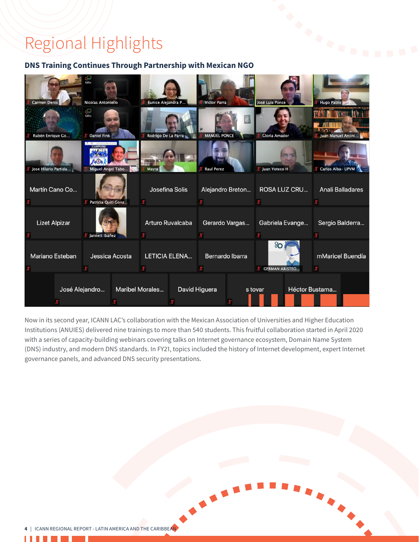# Regional Highlights

### **DNS Training Continues Through Partnership with Mexican NGO**



Now in its second year, ICANN LAC's collaboration with the Mexican Association of Universities and Higher Education Institutions (ANUIES) delivered nine trainings to more than 540 students. This fruitful collaboration started in April 2020 with a series of capacity-building webinars covering talks on Internet governance ecosystem, Domain Name System (DNS) industry, and modern DNS standards. In FY21, topics included the history of Internet development, expert Internet governance panels, and advanced DNS security presentations.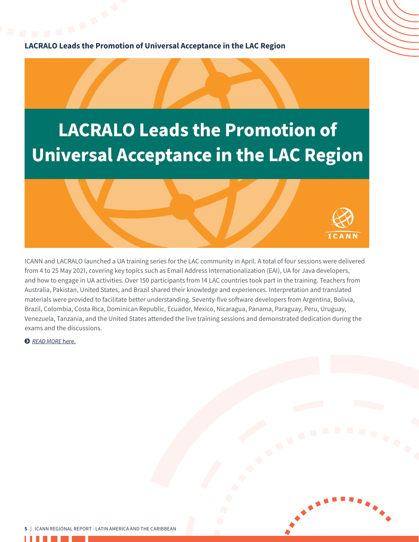# **LACRALO Leads the Promotion of Universal Acceptance in the LAC Region**





ICANN and LACRALO launched a UA training series for the LAC community in April. A total of four sessions were delivered from 4 to 25 May 2021, covering key topics such as Email Address Internationalization (EAI), UA for Java developers, and how to engage in UA activities. Over 150 participants from 14 LAC countries took part in the training. Teachers from Australia, Pakistan, United States, and Brazil shared their knowledge and experiences. Interpretation and translated materials were provided to facilitate better understanding. Seventy-five software developers from Argentina, Bolivia, Brazil, Colombia, Costa Rica, Dominican Republic, Ecuador, Mexico, Nicaragua, Panama, Paraguay, Peru, Uruguay, Venezuela, Tanzania, and the United States attended the live training sessions and demonstrated dedication during the exams and the discussions.

ĵ *READ [MORE](https://www.icann.org/en/announcements/details/lacralo-leads-the-promotion-of-universal-acceptance-in-the-lac-region-26-4-2021-en)* here.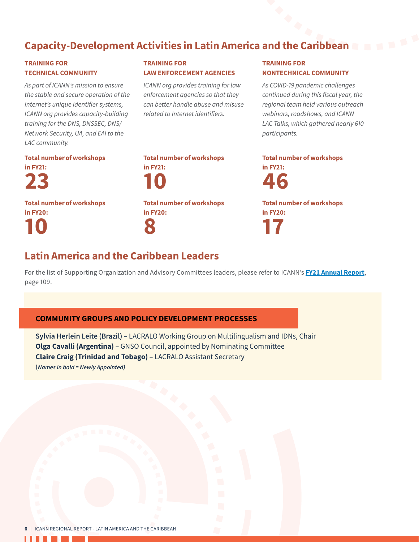# Capacity-Development Activities in Latin America and the Caribbean

### TRAINING FOR TECHNICAL COMMUNITY

*As part of ICANN's mission to ensure the stable and secure operation of the Internet's unique identifier systems, ICANN org provides capacity-building training for the DNS, DNSSEC, DNS/ Network Security, UA, and EAI to the LAC community.* 

### TRAINING FOR LAW ENFORCEMENT AGENCIES

*ICANN org provides training for law enforcement agencies so that they can better handle abuse and misuse related to Internet identifiers.*

### TRAINING FOR NONTECHNICAL COMMUNITY

*As COVID-19 pandemic challenges continued during this fiscal year, the regional team held various outreach webinars, roadshows, and ICANN LAC Talks, which gathered nearly 610 participants.*

Total number of workshops



Total number of workshops in FY20: 10

### Total number of workshops in FY21: 10 Total number of workshops in FY20: 8

Total number of workshops in FY21:

46

Total number of workshops in FY20: 17

### Latin America and the Caribbean Leaders

For the list of Supporting Organization and Advisory Committees leaders, please refer to ICANN's **[FY21 Annual Report](https://www.icann.org/en/system/files/files/annual-report-2021-en.pdf)**, page 109.

### COMMUNITY GROUPS AND POLICY DEVELOPMENT PROCESSES

**Sylvia Herlein Leite (Brazil) –** LACRALO Working Group on Multilingualism and IDNs, Chair **Olga Cavalli (Argentina) –** GNSO Council, appointed by Nominating Committee **Claire Craig (Trinidad and Tobago) –** LACRALO Assistant Secretary (*Names in bold = Newly Appointed)*